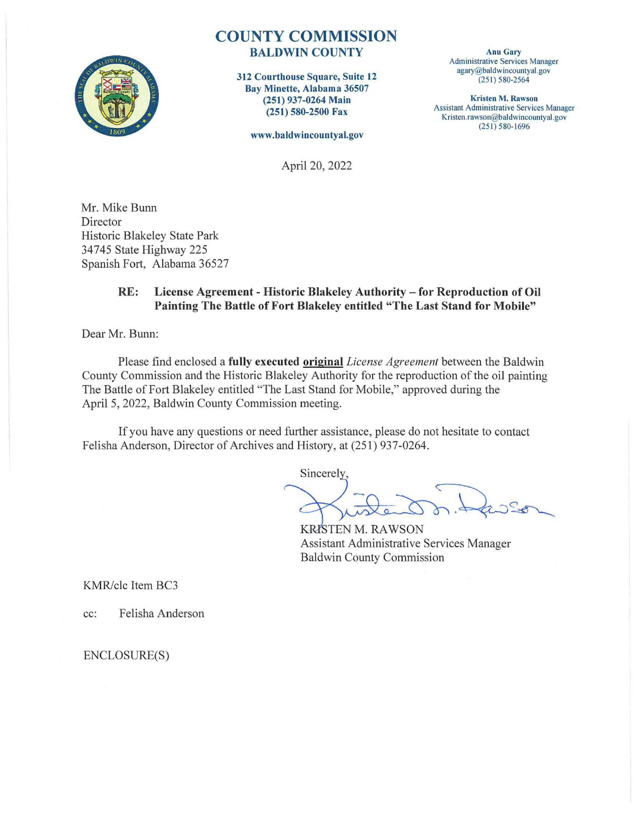

# **COUNTY COMMISSION BALDWIN COUNTY**

**312 Courthouse Square, Suite 12 Bay Minette, Alabama 36507 (251) 937-0264 Main (251) 580-2500 Fax** 

**www.baldwincountyal.gov** 

April 20, 2022

Mr. Mike Bunn Director Historic Blakeley State Park 34745 State Highway 225 Spanish Fort, Alabama 36527

### **RE: License Agreement** - **Historic Blakeley Authority** - **for Reproduction of Oil Painting The Battle of Fort Blakeley entitled "The Last Stand for Mobile"**

Dear Mr. Bunn:

Please find enclosed a **fully executed original** *License Agreement* between the Baldwin County Commission and the Historic Blakeley Authority for the reproduction of the oil painting The Battle of Fort Blakeley entitled "The Last Stand for Mobile," approved during the April 5, 2022, Baldwin County Commission meeting.

If you have any questions or need further assistance, please do not hesitate to contact Felisha Anderson, Director of Archives and History, at (251) 937-0264.

Sincerely,

**KRISTEN M. RAWSON** Assistant Administrative Services Manager Baldwin County Commission

KMR/clc Item BC3

cc: Felisha Anderson

ENCLOSURE(S)

**Anu Gary Administrative Services Manager**  agary@baldwincountyal.gov **(25 1) 580-2564** 

**Kristen M. Rawson**  Assistant Administrative Services Manager Kristen.rawson@baldwincountyal.gov  $(251) 580 - 1696$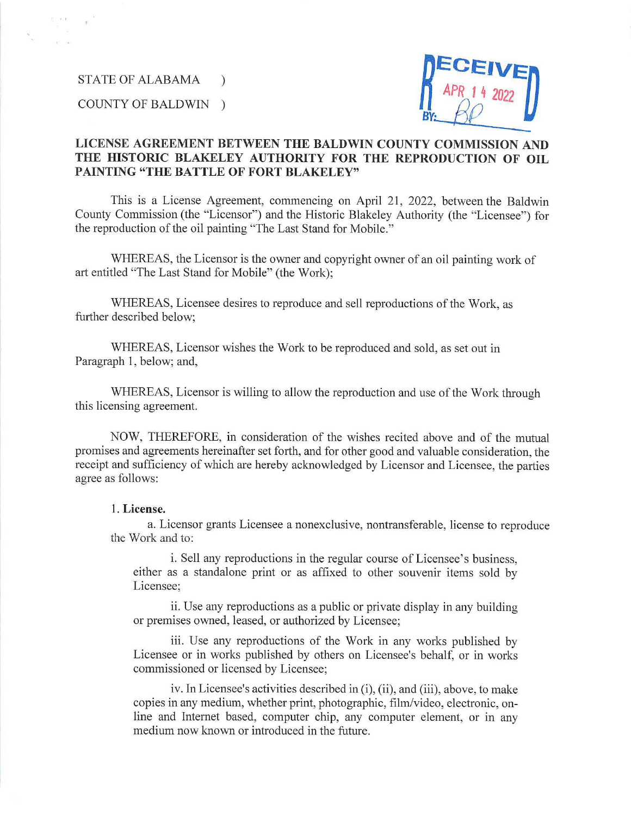STATE OF ALABAMA )

# STATE OF ALABAMA )<br>COUNTY OF BALDWIN )



### **LICENSE AGREEMENT BETWEEN THE BALDWIN COUNTY COMMISSION AND THE HISTORIC BLAKELEY AUTHORITY FOR THE REPRODUCTION OF OIL PAINTING "THE BATTLE OF FORT BLAKELEY"**

This is a License Agreement, commencing on April 21, 2022, between the Baldwin County Commission (the "Licensor") and the Historic Blakeley Authority (the "Licensee") for the reproduction of the oil painting "The Last Stand for Mobile."

WHEREAS, the Licensor is the owner and copyright owner of an oil painting work of art entitled "The Last Stand for Mobile" (the Work);

WHEREAS, Licensee desires to reproduce and sell reproductions of the Work, as further described below;

WHEREAS, Licensor wishes the Work to be reproduced and sold, as set out in Paragraph 1, below; and,

WHEREAS, Licensor is willing to allow the reproduction and use of the Work through this licensing agreement.

NOW, THEREFORE, in consideration of the wishes recited above and of the mutual promises and agreements hereinafter set forth, and for other good and valuable consideration, the receipt and sufficiency of which are hereby acknowledged by Licensor and Licensee, the patties agree as follows:

#### 1. **License.**

a. Licensor grants Licensee a nonexclusive, nontransferable, license to reproduce the Work and to:

i. Sell any reproductions in the regular course of Licensee's business, either as a standalone print or as affixed to other souvenir items sold by Licensee;

ii. Use any reproductions as a public or private display in any building or premises owned, leased, or authorized by Licensee;

iii. Use any reproductions of the Work in any works published by Licensee or in works published by others on Licensee's behalf, or in works commissioned or licensed by Licensee;

iv. In Licensee's activities described in (i), (ii), and (iii), above, to make copies in any medium, whether print, photographic, film/video, electronic, online and Internet based, computer chip, any computer element, or in any medium now known or introduced in the future.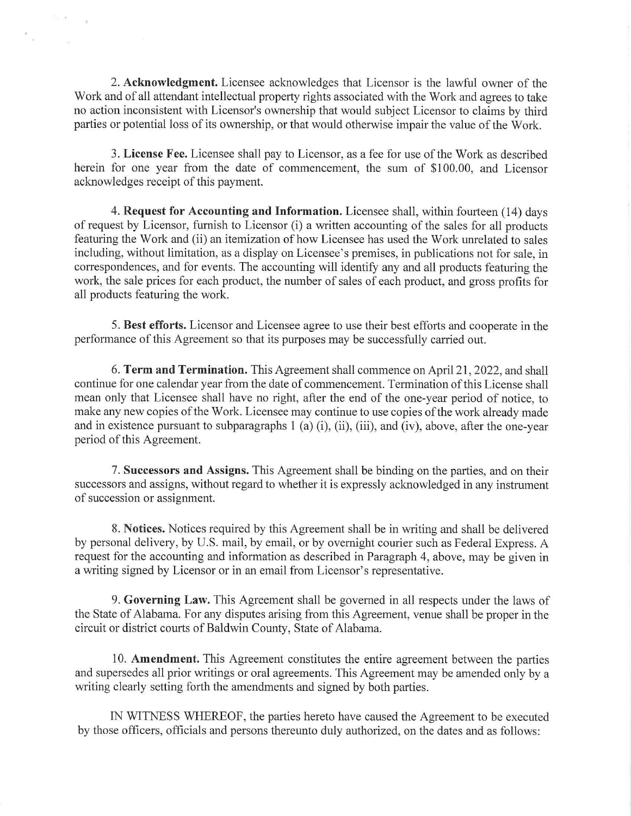2. **Acknowledgment.** Licensee acknowledges that Licensor is the lawful owner of the Work and of all attendant intellectual property rights associated with the Work and agrees to take no action inconsistent with Licensor's ownership that would subject Licensor to claims by third patties or potential loss of its ownership, or that would otherwise impair the value of the Work.

 $\sim 10^{-10}$ 

 $\label{eq:3.1} \begin{array}{ccccc} \mathcal{O} & \mathcal{O} & \mathcal{O} & \mathcal{O} \end{array}$ 

 $\frac{2}{\pi}$ 

3. **License Fee.** Licensee shall pay to Licensor, as a fee for use of the Work as described herein for one year from the date of commencement, the sum of \$100.00, and Licensor acknowledges receipt of this payment.

**4. Request for Accounting and Information.** Licensee shall, within fomteen (14) days of request by Licensor, furnish to Licensor (i) a written accounting of the sales for all products featuring the Work and (ii) an itemization of how Licensee has used the Work unrelated to sales including, without limitation, as a display on Licensee's premises, in publications not for sale, in correspondences, and for events. The accounting will identify any and all products featuring the work, the sale prices for each product, the number of sales of each product, and gross profits for all products featuring the work.

5. Best efforts. Licensor and Licensee agree to use their best efforts and cooperate in the performance of this Agreement so that its purposes may be successfully carried out.

6. **Term and Termination.** This Agreement shall commence on April 21, 2022, and shall continue for one calendar year from the date of commencement. Termination of this License shall mean only that Licensee shall have no right, after the end of the one-year period of notice, to make any new copies of the Work. Licensee may continue to use copies of the work already made and in existence pursuant to subparagraphs 1 (a) (i), (ii), (iii), and (iv), above, after the one-year period of this Agreement.

7. **Successors and Assigns.** This Agreement shall be binding on the parties, and on their successors and assigns, without regard to whether it is expressly acknowledged in any instrument of succession or assignment.

8. **Notices.** Notices required by this Agreement shall be in writing and shall be delivered by personal delivery, by U.S. mail, by email, or by overnight courier such as Federal Express. A request for the accounting and information as described in Paragraph 4, above, may be given in a writing signed by Licensor or in an email from Licensor's representative.

9. **Governing Law.** This Agreement shall be governed in all respects under the laws of the State of Alabama. For any disputes arising from this Agreement, venue shall be proper in the circuit or district comts of Baldwin County, State of Alabama.

10. **Amendment.** This Agreement constitutes the entire agreement between the patties and supersedes all prior writings or oral agreements. This Agreement may be amended only by a writing clearly setting forth the amendments and signed by both parties.

IN WITNESS WHEREOF, the parties hereto have caused the Agreement to be executed by those officers, officials and persons thereunto duly authorized, on the dates and as follows: